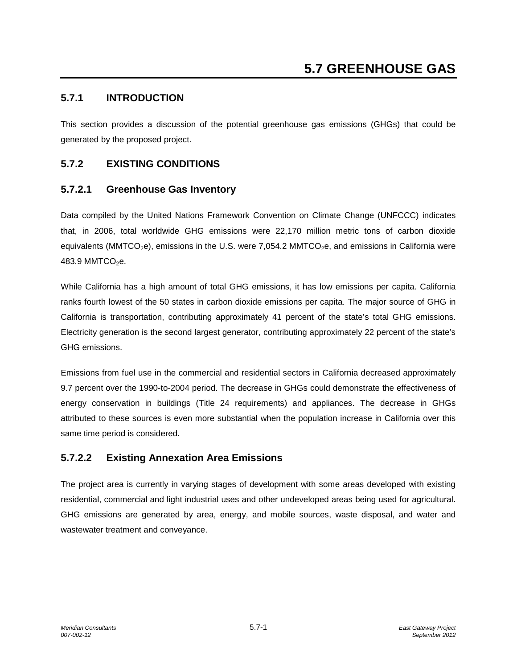## **5.7.1 INTRODUCTION**

This section provides a discussion of the potential greenhouse gas emissions (GHGs) that could be generated by the proposed project.

## **5.7.2 EXISTING CONDITIONS**

### **5.7.2.1 Greenhouse Gas Inventory**

Data compiled by the United Nations Framework Convention on Climate Change (UNFCCC) indicates that, in 2006, total worldwide GHG emissions were 22,170 million metric tons of carbon dioxide equivalents (MMTCO<sub>2</sub>e), emissions in the U.S. were 7,054.2 MMTCO<sub>2</sub>e, and emissions in California were 483.9 MMTCO $2e$ .

While California has a high amount of total GHG emissions, it has low emissions per capita. California ranks fourth lowest of the 50 states in carbon dioxide emissions per capita. The major source of GHG in California is transportation, contributing approximately 41 percent of the state's total GHG emissions. Electricity generation is the second largest generator, contributing approximately 22 percent of the state's GHG emissions.

Emissions from fuel use in the commercial and residential sectors in California decreased approximately 9.7 percent over the 1990-to-2004 period. The decrease in GHGs could demonstrate the effectiveness of energy conservation in buildings (Title 24 requirements) and appliances. The decrease in GHGs attributed to these sources is even more substantial when the population increase in California over this same time period is considered.

### **5.7.2.2 Existing Annexation Area Emissions**

The project area is currently in varying stages of development with some areas developed with existing residential, commercial and light industrial uses and other undeveloped areas being used for agricultural. GHG emissions are generated by area, energy, and mobile sources, waste disposal, and water and wastewater treatment and conveyance.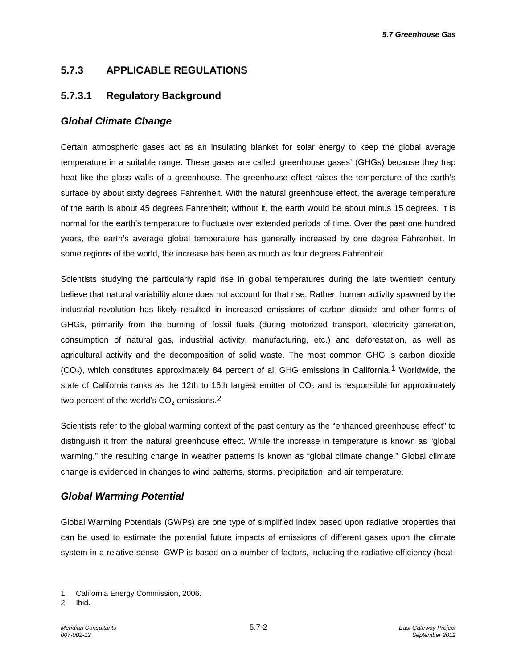# **5.7.3 APPLICABLE REGULATIONS**

### **5.7.3.1 Regulatory Background**

### *Global Climate Change*

Certain atmospheric gases act as an insulating blanket for solar energy to keep the global average temperature in a suitable range. These gases are called 'greenhouse gases' (GHGs) because they trap heat like the glass walls of a greenhouse. The greenhouse effect raises the temperature of the earth's surface by about sixty degrees Fahrenheit. With the natural greenhouse effect, the average temperature of the earth is about 45 degrees Fahrenheit; without it, the earth would be about minus 15 degrees. It is normal for the earth's temperature to fluctuate over extended periods of time. Over the past one hundred years, the earth's average global temperature has generally increased by one degree Fahrenheit. In some regions of the world, the increase has been as much as four degrees Fahrenheit.

Scientists studying the particularly rapid rise in global temperatures during the late twentieth century believe that natural variability alone does not account for that rise. Rather, human activity spawned by the industrial revolution has likely resulted in increased emissions of carbon dioxide and other forms of GHGs, primarily from the burning of fossil fuels (during motorized transport, electricity generation, consumption of natural gas, industrial activity, manufacturing, etc.) and deforestation, as well as agricultural activity and the decomposition of solid waste. The most common GHG is carbon dioxide  $(CO<sub>2</sub>)$ , which constitutes approximately 84 percent of all GHG emissions in California.<sup>[1](#page-1-0)</sup> Worldwide, the state of California ranks as the 12th to 16th largest emitter of  $CO<sub>2</sub>$  and is responsible for approximately two percent of the world's  $CO<sub>2</sub>$  $CO<sub>2</sub>$  $CO<sub>2</sub>$  emissions.<sup>2</sup>

Scientists refer to the global warming context of the past century as the "enhanced greenhouse effect" to distinguish it from the natural greenhouse effect. While the increase in temperature is known as "global warming," the resulting change in weather patterns is known as "global climate change." Global climate change is evidenced in changes to wind patterns, storms, precipitation, and air temperature.

### *Global Warming Potential*

Global Warming Potentials (GWPs) are one type of simplified index based upon radiative properties that can be used to estimate the potential future impacts of emissions of different gases upon the climate system in a relative sense. GWP is based on a number of factors, including the radiative efficiency (heat-

-

<span id="page-1-0"></span><sup>1</sup> California Energy Commission, 2006.

<span id="page-1-1"></span><sup>2</sup> Ibid.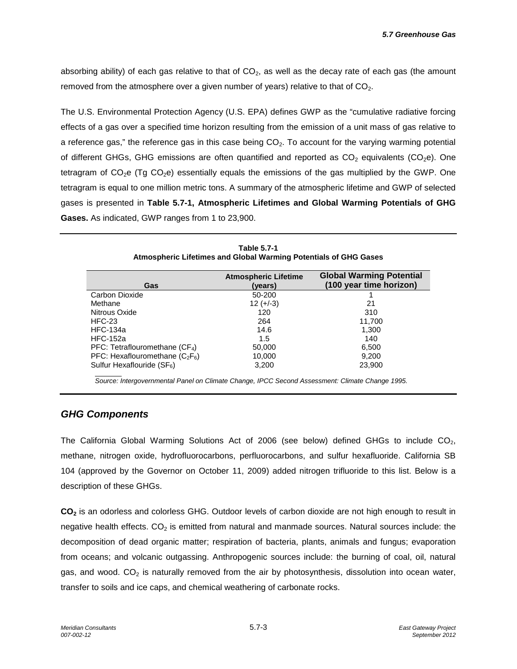absorbing ability) of each gas relative to that of  $CO<sub>2</sub>$ , as well as the decay rate of each gas (the amount removed from the atmosphere over a given number of years) relative to that of  $CO<sub>2</sub>$ .

The U.S. Environmental Protection Agency (U.S. EPA) defines GWP as the "cumulative radiative forcing effects of a gas over a specified time horizon resulting from the emission of a unit mass of gas relative to a reference gas," the reference gas in this case being  $CO<sub>2</sub>$ . To account for the varying warming potential of different GHGs, GHG emissions are often quantified and reported as  $CO<sub>2</sub>$  equivalents (CO<sub>2</sub>e). One tetragram of  $CO<sub>2</sub>e$  (Tg  $CO<sub>2</sub>e$ ) essentially equals the emissions of the gas multiplied by the GWP. One tetragram is equal to one million metric tons. A summary of the atmospheric lifetime and GWP of selected gases is presented in **Table 5.7-1, Atmospheric Lifetimes and Global Warming Potentials of GHG Gases.** As indicated, GWP ranges from 1 to 23,900.

| <b>Table 5.7-1</b><br>Atmospheric Lifetimes and Global Warming Potentials of GHG Gases |
|----------------------------------------------------------------------------------------|
|                                                                                        |

| Gas                               | <b>Atmospheric Lifetime</b><br>(vears) | <b>Global Warming Potential</b><br>(100 year time horizon) |
|-----------------------------------|----------------------------------------|------------------------------------------------------------|
| Carbon Dioxide                    | 50-200                                 |                                                            |
| Methane                           | $12 (+-3)$                             | 21                                                         |
| Nitrous Oxide                     | 120                                    | 310                                                        |
| HFC-23                            | 264                                    | 11,700                                                     |
| <b>HFC-134a</b>                   | 14.6                                   | 1,300                                                      |
| <b>HFC-152a</b>                   | 1.5                                    | 140                                                        |
| PFC: Tetraflouromethane $(CF_4)$  | 50,000                                 | 6,500                                                      |
| PFC: Hexaflouromethane $(C_2F_6)$ | 10,000                                 | 9,200                                                      |
| Sulfur Hexaflouride $(SF_6)$      | 3,200                                  | 23,900                                                     |

*Source: Intergovernmental Panel on Climate Change, IPCC Second Assessment: Climate Change 1995.*

### *GHG Components*

The California Global Warming Solutions Act of 2006 (see below) defined GHGs to include  $CO<sub>2</sub>$ , methane, nitrogen oxide, hydrofluorocarbons, perfluorocarbons, and sulfur hexafluoride. California SB 104 (approved by the Governor on October 11, 2009) added nitrogen trifluoride to this list. Below is a description of these GHGs.

**CO2** is an odorless and colorless GHG. Outdoor levels of carbon dioxide are not high enough to result in negative health effects.  $CO<sub>2</sub>$  is emitted from natural and manmade sources. Natural sources include: the decomposition of dead organic matter; respiration of bacteria, plants, animals and fungus; evaporation from oceans; and volcanic outgassing. Anthropogenic sources include: the burning of coal, oil, natural gas, and wood.  $CO<sub>2</sub>$  is naturally removed from the air by photosynthesis, dissolution into ocean water, transfer to soils and ice caps, and chemical weathering of carbonate rocks.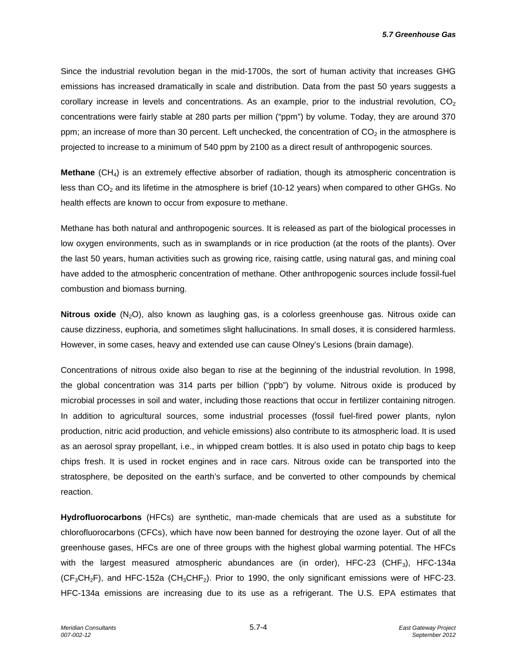Since the industrial revolution began in the mid-1700s, the sort of human activity that increases GHG emissions has increased dramatically in scale and distribution. Data from the past 50 years suggests a corollary increase in levels and concentrations. As an example, prior to the industrial revolution,  $CO<sub>2</sub>$ concentrations were fairly stable at 280 parts per million ("ppm") by volume. Today, they are around 370 ppm; an increase of more than 30 percent. Left unchecked, the concentration of  $CO<sub>2</sub>$  in the atmosphere is projected to increase to a minimum of 540 ppm by 2100 as a direct result of anthropogenic sources.

**Methane** (CH<sub>4</sub>) is an extremely effective absorber of radiation, though its atmospheric concentration is less than  $CO<sub>2</sub>$  and its lifetime in the atmosphere is brief (10-12 years) when compared to other GHGs. No health effects are known to occur from exposure to methane.

Methane has both natural and anthropogenic sources. It is released as part of the biological processes in low oxygen environments, such as in swamplands or in rice production (at the roots of the plants). Over the last 50 years, human activities such as growing rice, raising cattle, using natural gas, and mining coal have added to the atmospheric concentration of methane. Other anthropogenic sources include fossil-fuel combustion and biomass burning.

**Nitrous oxide** (N<sub>2</sub>O), also known as laughing gas, is a colorless greenhouse gas. Nitrous oxide can cause dizziness, euphoria, and sometimes slight hallucinations. In small doses, it is considered harmless. However, in some cases, heavy and extended use can cause Olney's Lesions (brain damage).

Concentrations of nitrous oxide also began to rise at the beginning of the industrial revolution. In 1998, the global concentration was 314 parts per billion ("ppb") by volume. Nitrous oxide is produced by microbial processes in soil and water, including those reactions that occur in fertilizer containing nitrogen. In addition to agricultural sources, some industrial processes (fossil fuel-fired power plants, nylon production, nitric acid production, and vehicle emissions) also contribute to its atmospheric load. It is used as an aerosol spray propellant, i.e., in whipped cream bottles. It is also used in potato chip bags to keep chips fresh. It is used in rocket engines and in race cars. Nitrous oxide can be transported into the stratosphere, be deposited on the earth's surface, and be converted to other compounds by chemical reaction.

**Hydrofluorocarbons** (HFCs) are synthetic, man-made chemicals that are used as a substitute for chlorofluorocarbons (CFCs), which have now been banned for destroying the ozone layer. Out of all the greenhouse gases, HFCs are one of three groups with the highest global warming potential. The HFCs with the largest measured atmospheric abundances are (in order), HFC-23 (CHF<sub>3</sub>), HFC-134a  $(CF_3CH_2F)$ , and HFC-152a  $(CH_3CHF_2)$ . Prior to 1990, the only significant emissions were of HFC-23. HFC-134a emissions are increasing due to its use as a refrigerant. The U.S. EPA estimates that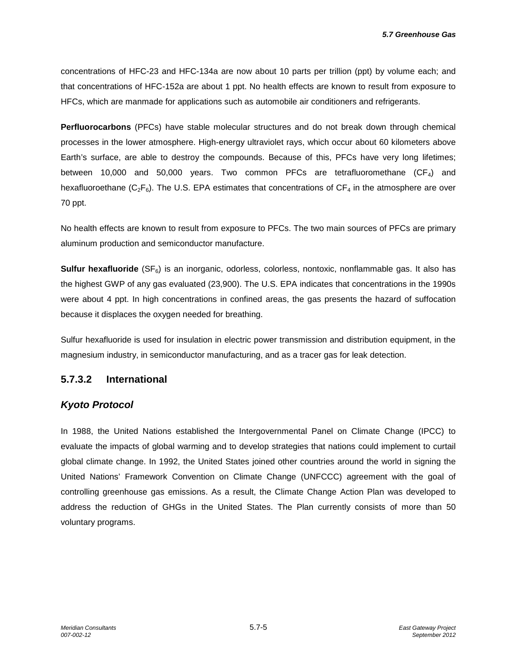concentrations of HFC-23 and HFC-134a are now about 10 parts per trillion (ppt) by volume each; and that concentrations of HFC-152a are about 1 ppt. No health effects are known to result from exposure to HFCs, which are manmade for applications such as automobile air conditioners and refrigerants.

**Perfluorocarbons** (PFCs) have stable molecular structures and do not break down through chemical processes in the lower atmosphere. High-energy ultraviolet rays, which occur about 60 kilometers above Earth's surface, are able to destroy the compounds. Because of this, PFCs have very long lifetimes; between 10,000 and 50,000 years. Two common PFCs are tetrafluoromethane  $(CF_4)$  and hexafluoroethane  $(C_2F_6)$ . The U.S. EPA estimates that concentrations of  $CF_4$  in the atmosphere are over 70 ppt.

No health effects are known to result from exposure to PFCs. The two main sources of PFCs are primary aluminum production and semiconductor manufacture.

**Sulfur hexafluoride** (SF<sub>6</sub>) is an inorganic, odorless, colorless, nontoxic, nonflammable gas. It also has the highest GWP of any gas evaluated (23,900). The U.S. EPA indicates that concentrations in the 1990s were about 4 ppt. In high concentrations in confined areas, the gas presents the hazard of suffocation because it displaces the oxygen needed for breathing.

Sulfur hexafluoride is used for insulation in electric power transmission and distribution equipment, in the magnesium industry, in semiconductor manufacturing, and as a tracer gas for leak detection.

### **5.7.3.2 International**

### *Kyoto Protocol*

In 1988, the United Nations established the Intergovernmental Panel on Climate Change (IPCC) to evaluate the impacts of global warming and to develop strategies that nations could implement to curtail global climate change. In 1992, the United States joined other countries around the world in signing the United Nations' Framework Convention on Climate Change (UNFCCC) agreement with the goal of controlling greenhouse gas emissions. As a result, the Climate Change Action Plan was developed to address the reduction of GHGs in the United States. The Plan currently consists of more than 50 voluntary programs.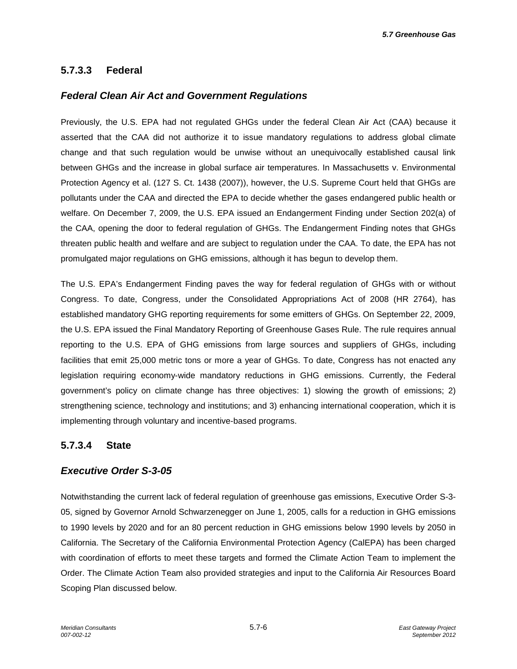# **5.7.3.3 Federal**

### *Federal Clean Air Act and Government Regulations*

Previously, the U.S. EPA had not regulated GHGs under the federal Clean Air Act (CAA) because it asserted that the CAA did not authorize it to issue mandatory regulations to address global climate change and that such regulation would be unwise without an unequivocally established causal link between GHGs and the increase in global surface air temperatures. In Massachusetts v. Environmental Protection Agency et al. (127 S. Ct. 1438 (2007)), however, the U.S. Supreme Court held that GHGs are pollutants under the CAA and directed the EPA to decide whether the gases endangered public health or welfare. On December 7, 2009, the U.S. EPA issued an Endangerment Finding under Section 202(a) of the CAA, opening the door to federal regulation of GHGs. The Endangerment Finding notes that GHGs threaten public health and welfare and are subject to regulation under the CAA. To date, the EPA has not promulgated major regulations on GHG emissions, although it has begun to develop them.

The U.S. EPA's Endangerment Finding paves the way for federal regulation of GHGs with or without Congress. To date, Congress, under the Consolidated Appropriations Act of 2008 (HR 2764), has established mandatory GHG reporting requirements for some emitters of GHGs. On September 22, 2009, the U.S. EPA issued the Final Mandatory Reporting of Greenhouse Gases Rule. The rule requires annual reporting to the U.S. EPA of GHG emissions from large sources and suppliers of GHGs, including facilities that emit 25,000 metric tons or more a year of GHGs. To date, Congress has not enacted any legislation requiring economy-wide mandatory reductions in GHG emissions. Currently, the Federal government's policy on climate change has three objectives: 1) slowing the growth of emissions; 2) strengthening science, technology and institutions; and 3) enhancing international cooperation, which it is implementing through voluntary and incentive-based programs.

### **5.7.3.4 State**

### *Executive Order S-3-05*

Notwithstanding the current lack of federal regulation of greenhouse gas emissions, Executive Order S-3- 05, signed by Governor Arnold Schwarzenegger on June 1, 2005, calls for a reduction in GHG emissions to 1990 levels by 2020 and for an 80 percent reduction in GHG emissions below 1990 levels by 2050 in California. The Secretary of the California Environmental Protection Agency (CalEPA) has been charged with coordination of efforts to meet these targets and formed the Climate Action Team to implement the Order. The Climate Action Team also provided strategies and input to the California Air Resources Board Scoping Plan discussed below.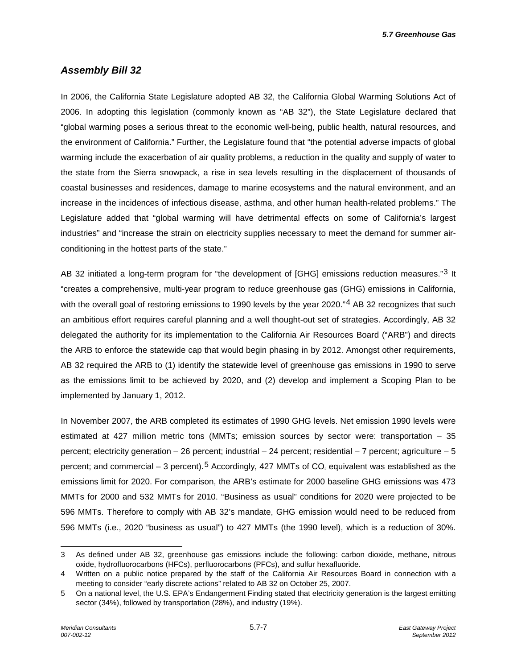*5.7 Greenhouse Gas*

### *Assembly Bill 32*

In 2006, the California State Legislature adopted AB 32, the California Global Warming Solutions Act of 2006. In adopting this legislation (commonly known as "AB 32"), the State Legislature declared that "global warming poses a serious threat to the economic well-being, public health, natural resources, and the environment of California." Further, the Legislature found that "the potential adverse impacts of global warming include the exacerbation of air quality problems, a reduction in the quality and supply of water to the state from the Sierra snowpack, a rise in sea levels resulting in the displacement of thousands of coastal businesses and residences, damage to marine ecosystems and the natural environment, and an increase in the incidences of infectious disease, asthma, and other human health-related problems." The Legislature added that "global warming will have detrimental effects on some of California's largest industries" and "increase the strain on electricity supplies necessary to meet the demand for summer airconditioning in the hottest parts of the state."

AB [3](#page-6-0)2 initiated a long-term program for "the development of [GHG] emissions reduction measures."<sup>3</sup> It "creates a comprehensive, multi-year program to reduce greenhouse gas (GHG) emissions in California, with the overall goal of restoring emissions to 1990 levels by the year 2020."<sup>[4](#page-6-1)</sup> AB 32 recognizes that such an ambitious effort requires careful planning and a well thought-out set of strategies. Accordingly, AB 32 delegated the authority for its implementation to the California Air Resources Board ("ARB") and directs the ARB to enforce the statewide cap that would begin phasing in by 2012. Amongst other requirements, AB 32 required the ARB to (1) identify the statewide level of greenhouse gas emissions in 1990 to serve as the emissions limit to be achieved by 2020, and (2) develop and implement a Scoping Plan to be implemented by January 1, 2012.

In November 2007, the ARB completed its estimates of 1990 GHG levels. Net emission 1990 levels were estimated at 427 million metric tons (MMTs; emission sources by sector were: transportation – 35 percent; electricity generation – 26 percent; industrial – 24 percent; residential – 7 percent; agriculture – 5 percent; and commercial – 3 percent).<sup>[5](#page-6-2)</sup> Accordingly, 427 MMTs of CO<sub>2</sub> equivalent was established as the emissions limit for 2020. For comparison, the ARB's estimate for 2000 baseline GHG emissions was 473 MMTs for 2000 and 532 MMTs for 2010. "Business as usual" conditions for 2020 were projected to be 596 MMTs. Therefore to comply with AB 32's mandate, GHG emission would need to be reduced from 596 MMTs (i.e., 2020 "business as usual") to 427 MMTs (the 1990 level), which is a reduction of 30%.

-

<span id="page-6-0"></span><sup>3</sup> As defined under AB 32, greenhouse gas emissions include the following: carbon dioxide, methane, nitrous oxide, hydrofluorocarbons (HFCs), perfluorocarbons (PFCs), and sulfur hexafluoride.

<span id="page-6-1"></span><sup>4</sup> Written on a public notice prepared by the staff of the California Air Resources Board in connection with a meeting to consider "early discrete actions" related to AB 32 on October 25, 2007.

<span id="page-6-2"></span><sup>5</sup> On a national level, the U.S. EPA's Endangerment Finding stated that electricity generation is the largest emitting sector (34%), followed by transportation (28%), and industry (19%).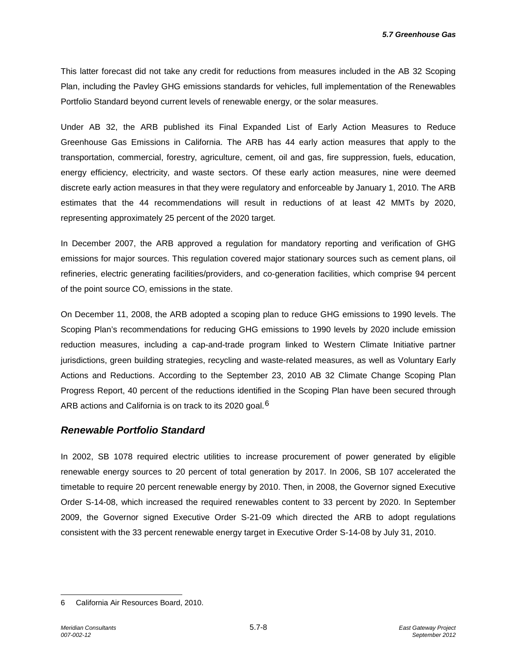*5.7 Greenhouse Gas*

This latter forecast did not take any credit for reductions from measures included in the AB 32 Scoping Plan, including the Pavley GHG emissions standards for vehicles, full implementation of the Renewables Portfolio Standard beyond current levels of renewable energy, or the solar measures.

Under AB 32, the ARB published its Final Expanded List of Early Action Measures to Reduce Greenhouse Gas Emissions in California. The ARB has 44 early action measures that apply to the transportation, commercial, forestry, agriculture, cement, oil and gas, fire suppression, fuels, education, energy efficiency, electricity, and waste sectors. Of these early action measures, nine were deemed discrete early action measures in that they were regulatory and enforceable by January 1, 2010. The ARB estimates that the 44 recommendations will result in reductions of at least 42 MMTs by 2020, representing approximately 25 percent of the 2020 target.

In December 2007, the ARB approved a regulation for mandatory reporting and verification of GHG emissions for major sources. This regulation covered major stationary sources such as cement plans, oil refineries, electric generating facilities/providers, and co-generation facilities, which comprise 94 percent of the point source  $CO<sub>2</sub>$  emissions in the state.

On December 11, 2008, the ARB adopted a scoping plan to reduce GHG emissions to 1990 levels. The Scoping Plan's recommendations for reducing GHG emissions to 1990 levels by 2020 include emission reduction measures, including a cap-and-trade program linked to Western Climate Initiative partner jurisdictions, green building strategies, recycling and waste-related measures, as well as Voluntary Early Actions and Reductions. According to the September 23, 2010 AB 32 Climate Change Scoping Plan Progress Report, 40 percent of the reductions identified in the Scoping Plan have been secured through ARB actions and California is on track to its 2020 goal.<sup>[6](#page-7-0)</sup>

### *Renewable Portfolio Standard*

In 2002, SB 1078 required electric utilities to increase procurement of power generated by eligible renewable energy sources to 20 percent of total generation by 2017. In 2006, SB 107 accelerated the timetable to require 20 percent renewable energy by 2010. Then, in 2008, the Governor signed Executive Order S-14-08, which increased the required renewables content to 33 percent by 2020. In September 2009, the Governor signed Executive Order S-21-09 which directed the ARB to adopt regulations consistent with the 33 percent renewable energy target in Executive Order S-14-08 by July 31, 2010.

<span id="page-7-0"></span><sup>-</sup>6 California Air Resources Board, 2010.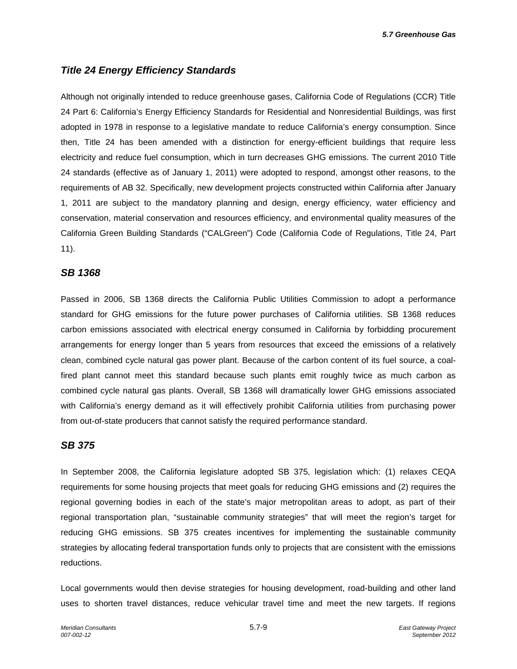*5.7 Greenhouse Gas*

### *Title 24 Energy Efficiency Standards*

Although not originally intended to reduce greenhouse gases, California Code of Regulations (CCR) Title 24 Part 6: California's Energy Efficiency Standards for Residential and Nonresidential Buildings, was first adopted in 1978 in response to a legislative mandate to reduce California's energy consumption. Since then, Title 24 has been amended with a distinction for energy-efficient buildings that require less electricity and reduce fuel consumption, which in turn decreases GHG emissions. The current 2010 Title 24 standards (effective as of January 1, 2011) were adopted to respond, amongst other reasons, to the requirements of AB 32. Specifically, new development projects constructed within California after January 1, 2011 are subject to the mandatory planning and design, energy efficiency, water efficiency and conservation, material conservation and resources efficiency, and environmental quality measures of the California Green Building Standards ("CALGreen") Code (California Code of Regulations, Title 24, Part 11).

#### *SB 1368*

Passed in 2006, SB 1368 directs the California Public Utilities Commission to adopt a performance standard for GHG emissions for the future power purchases of California utilities. SB 1368 reduces carbon emissions associated with electrical energy consumed in California by forbidding procurement arrangements for energy longer than 5 years from resources that exceed the emissions of a relatively clean, combined cycle natural gas power plant. Because of the carbon content of its fuel source, a coalfired plant cannot meet this standard because such plants emit roughly twice as much carbon as combined cycle natural gas plants. Overall, SB 1368 will dramatically lower GHG emissions associated with California's energy demand as it will effectively prohibit California utilities from purchasing power from out-of-state producers that cannot satisfy the required performance standard.

### *SB 375*

In September 2008, the California legislature adopted SB 375, legislation which: (1) relaxes CEQA requirements for some housing projects that meet goals for reducing GHG emissions and (2) requires the regional governing bodies in each of the state's major metropolitan areas to adopt, as part of their regional transportation plan, "sustainable community strategies" that will meet the region's target for reducing GHG emissions. SB 375 creates incentives for implementing the sustainable community strategies by allocating federal transportation funds only to projects that are consistent with the emissions reductions.

Local governments would then devise strategies for housing development, road-building and other land uses to shorten travel distances, reduce vehicular travel time and meet the new targets. If regions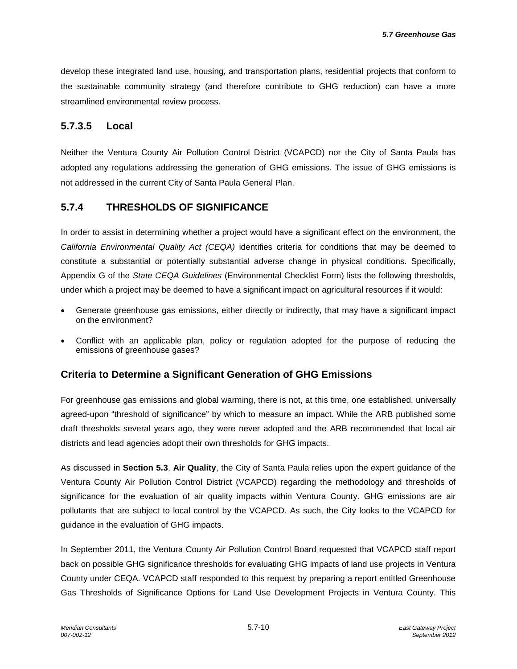develop these integrated land use, housing, and transportation plans, residential projects that conform to the sustainable community strategy (and therefore contribute to GHG reduction) can have a more streamlined environmental review process.

### **5.7.3.5 Local**

Neither the Ventura County Air Pollution Control District (VCAPCD) nor the City of Santa Paula has adopted any regulations addressing the generation of GHG emissions. The issue of GHG emissions is not addressed in the current City of Santa Paula General Plan.

### **5.7.4 THRESHOLDS OF SIGNIFICANCE**

In order to assist in determining whether a project would have a significant effect on the environment, the *California Environmental Quality Act (CEQA)* identifies criteria for conditions that may be deemed to constitute a substantial or potentially substantial adverse change in physical conditions. Specifically, Appendix G of the *State CEQA Guidelines* (Environmental Checklist Form) lists the following thresholds, under which a project may be deemed to have a significant impact on agricultural resources if it would:

- Generate greenhouse gas emissions, either directly or indirectly, that may have a significant impact on the environment?
- Conflict with an applicable plan, policy or regulation adopted for the purpose of reducing the emissions of greenhouse gases?

### **Criteria to Determine a Significant Generation of GHG Emissions**

For greenhouse gas emissions and global warming, there is not, at this time, one established, universally agreed-upon "threshold of significance" by which to measure an impact. While the ARB published some draft thresholds several years ago, they were never adopted and the ARB recommended that local air districts and lead agencies adopt their own thresholds for GHG impacts.

As discussed in **Section 5.3**, **Air Quality**, the City of Santa Paula relies upon the expert guidance of the Ventura County Air Pollution Control District (VCAPCD) regarding the methodology and thresholds of significance for the evaluation of air quality impacts within Ventura County. GHG emissions are air pollutants that are subject to local control by the VCAPCD. As such, the City looks to the VCAPCD for guidance in the evaluation of GHG impacts.

In September 2011, the Ventura County Air Pollution Control Board requested that VCAPCD staff report back on possible GHG significance thresholds for evaluating GHG impacts of land use projects in Ventura County under CEQA. VCAPCD staff responded to this request by preparing a report entitled Greenhouse Gas Thresholds of Significance Options for Land Use Development Projects in Ventura County. This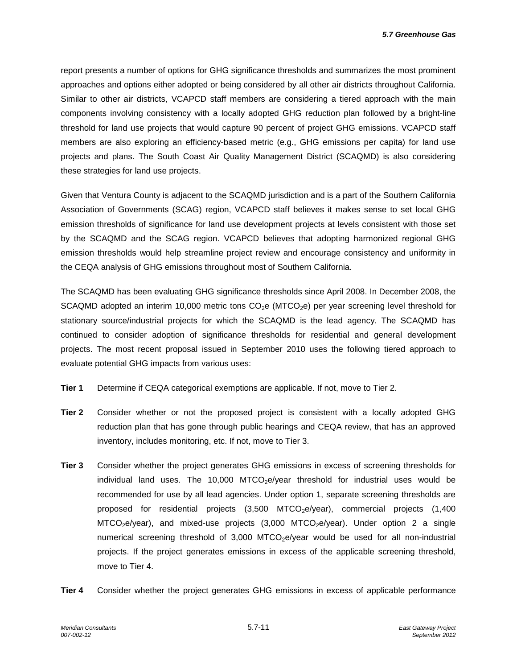report presents a number of options for GHG significance thresholds and summarizes the most prominent approaches and options either adopted or being considered by all other air districts throughout California. Similar to other air districts, VCAPCD staff members are considering a tiered approach with the main components involving consistency with a locally adopted GHG reduction plan followed by a bright-line threshold for land use projects that would capture 90 percent of project GHG emissions. VCAPCD staff members are also exploring an efficiency-based metric (e.g., GHG emissions per capita) for land use projects and plans. The South Coast Air Quality Management District (SCAQMD) is also considering these strategies for land use projects.

Given that Ventura County is adjacent to the SCAQMD jurisdiction and is a part of the Southern California Association of Governments (SCAG) region, VCAPCD staff believes it makes sense to set local GHG emission thresholds of significance for land use development projects at levels consistent with those set by the SCAQMD and the SCAG region. VCAPCD believes that adopting harmonized regional GHG emission thresholds would help streamline project review and encourage consistency and uniformity in the CEQA analysis of GHG emissions throughout most of Southern California.

The SCAQMD has been evaluating GHG significance thresholds since April 2008. In December 2008, the SCAQMD adopted an interim 10,000 metric tons  $CO<sub>2</sub>e$  (MTCO<sub>2</sub>e) per year screening level threshold for stationary source/industrial projects for which the SCAQMD is the lead agency. The SCAQMD has continued to consider adoption of significance thresholds for residential and general development projects. The most recent proposal issued in September 2010 uses the following tiered approach to evaluate potential GHG impacts from various uses:

- **Tier 1** Determine if CEQA categorical exemptions are applicable. If not, move to Tier 2.
- **Tier 2** Consider whether or not the proposed project is consistent with a locally adopted GHG reduction plan that has gone through public hearings and CEQA review, that has an approved inventory, includes monitoring, etc. If not, move to Tier 3.
- **Tier 3** Consider whether the project generates GHG emissions in excess of screening thresholds for individual land uses. The 10,000 MTCO<sub>2</sub>e/year threshold for industrial uses would be recommended for use by all lead agencies. Under option 1, separate screening thresholds are proposed for residential projects  $(3,500$  MTCO<sub>2</sub>e/year), commercial projects  $(1,400$  $MTCO<sub>2</sub>e/year)$ , and mixed-use projects (3,000 MTCO<sub>2</sub>e/year). Under option 2 a single numerical screening threshold of  $3,000$  MTCO<sub>2</sub>e/year would be used for all non-industrial projects. If the project generates emissions in excess of the applicable screening threshold, move to Tier 4.
- **Tier 4** Consider whether the project generates GHG emissions in excess of applicable performance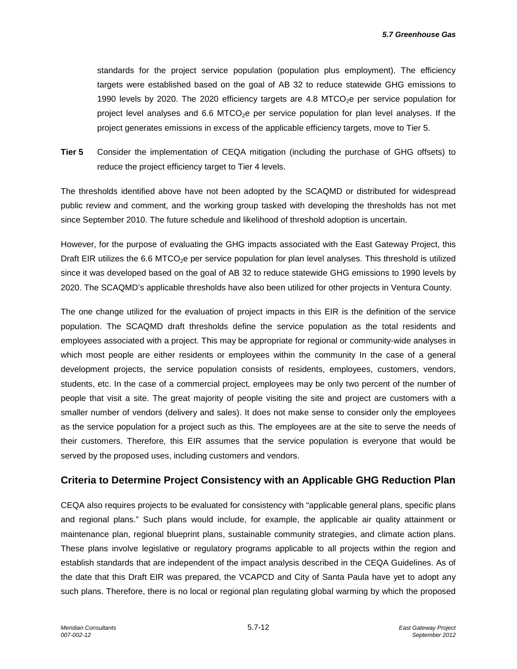standards for the project service population (population plus employment). The efficiency targets were established based on the goal of AB 32 to reduce statewide GHG emissions to 1990 levels by 2020. The 2020 efficiency targets are 4.8 MTCO<sub>2</sub>e per service population for project level analyses and  $6.6$  MTCO<sub>2</sub>e per service population for plan level analyses. If the project generates emissions in excess of the applicable efficiency targets, move to Tier 5.

**Tier 5** Consider the implementation of CEQA mitigation (including the purchase of GHG offsets) to reduce the project efficiency target to Tier 4 levels.

The thresholds identified above have not been adopted by the SCAQMD or distributed for widespread public review and comment, and the working group tasked with developing the thresholds has not met since September 2010. The future schedule and likelihood of threshold adoption is uncertain.

However, for the purpose of evaluating the GHG impacts associated with the East Gateway Project, this Draft EIR utilizes the 6.6 MTCO<sub>2</sub>e per service population for plan level analyses. This threshold is utilized since it was developed based on the goal of AB 32 to reduce statewide GHG emissions to 1990 levels by 2020. The SCAQMD's applicable thresholds have also been utilized for other projects in Ventura County.

The one change utilized for the evaluation of project impacts in this EIR is the definition of the service population. The SCAQMD draft thresholds define the service population as the total residents and employees associated with a project. This may be appropriate for regional or community-wide analyses in which most people are either residents or employees within the community In the case of a general development projects, the service population consists of residents, employees, customers, vendors, students, etc. In the case of a commercial project, employees may be only two percent of the number of people that visit a site. The great majority of people visiting the site and project are customers with a smaller number of vendors (delivery and sales). It does not make sense to consider only the employees as the service population for a project such as this. The employees are at the site to serve the needs of their customers. Therefore, this EIR assumes that the service population is everyone that would be served by the proposed uses, including customers and vendors.

### **Criteria to Determine Project Consistency with an Applicable GHG Reduction Plan**

CEQA also requires projects to be evaluated for consistency with "applicable general plans, specific plans and regional plans." Such plans would include, for example, the applicable air quality attainment or maintenance plan, regional blueprint plans, sustainable community strategies, and climate action plans. These plans involve legislative or regulatory programs applicable to all projects within the region and establish standards that are independent of the impact analysis described in the CEQA Guidelines. As of the date that this Draft EIR was prepared, the VCAPCD and City of Santa Paula have yet to adopt any such plans. Therefore, there is no local or regional plan regulating global warming by which the proposed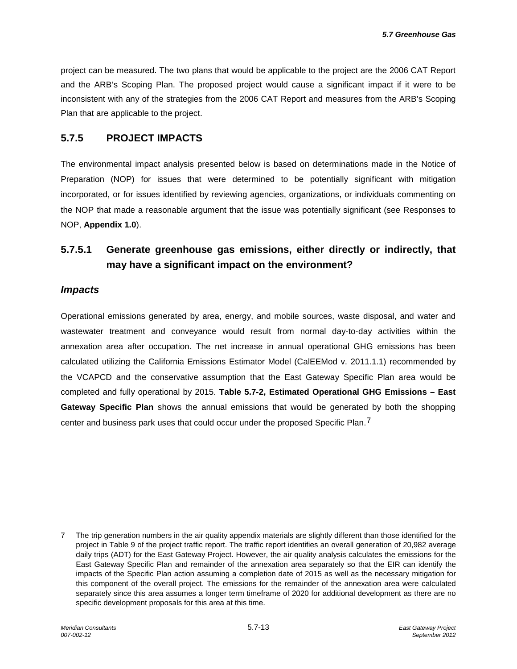project can be measured. The two plans that would be applicable to the project are the 2006 CAT Report and the ARB's Scoping Plan. The proposed project would cause a significant impact if it were to be inconsistent with any of the strategies from the 2006 CAT Report and measures from the ARB's Scoping Plan that are applicable to the project.

### **5.7.5 PROJECT IMPACTS**

The environmental impact analysis presented below is based on determinations made in the Notice of Preparation (NOP) for issues that were determined to be potentially significant with mitigation incorporated, or for issues identified by reviewing agencies, organizations, or individuals commenting on the NOP that made a reasonable argument that the issue was potentially significant (see Responses to NOP, **Appendix 1.0**).

# **5.7.5.1 Generate greenhouse gas emissions, either directly or indirectly, that may have a significant impact on the environment?**

#### *Impacts*

Operational emissions generated by area, energy, and mobile sources, waste disposal, and water and wastewater treatment and conveyance would result from normal day-to-day activities within the annexation area after occupation. The net increase in annual operational GHG emissions has been calculated utilizing the California Emissions Estimator Model (CalEEMod v. 2011.1.1) recommended by the VCAPCD and the conservative assumption that the East Gateway Specific Plan area would be completed and fully operational by 2015. **Table 5.7-2, Estimated Operational GHG Emissions – East Gateway Specific Plan** shows the annual emissions that would be generated by both the shopping center and business park uses that could occur under the proposed Specific Plan.<sup>[7](#page-12-0)</sup>

<span id="page-12-0"></span><sup>-</sup>7 The trip generation numbers in the air quality appendix materials are slightly different than those identified for the project in Table 9 of the project traffic report. The traffic report identifies an overall generation of 20,982 average daily trips (ADT) for the East Gateway Project. However, the air quality analysis calculates the emissions for the East Gateway Specific Plan and remainder of the annexation area separately so that the EIR can identify the impacts of the Specific Plan action assuming a completion date of 2015 as well as the necessary mitigation for this component of the overall project. The emissions for the remainder of the annexation area were calculated separately since this area assumes a longer term timeframe of 2020 for additional development as there are no specific development proposals for this area at this time.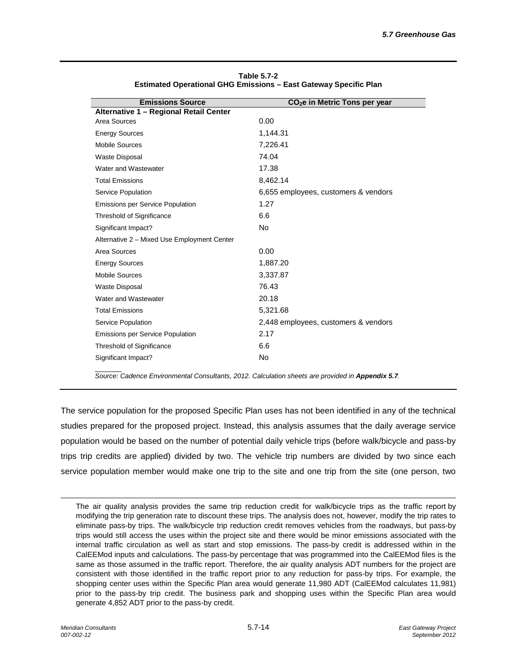| <b>Emissions Source</b>                     | CO <sub>2</sub> e in Metric Tons per year |
|---------------------------------------------|-------------------------------------------|
| Alternative 1 - Regional Retail Center      |                                           |
| Area Sources                                | 0.00                                      |
| <b>Energy Sources</b>                       | 1,144.31                                  |
| <b>Mobile Sources</b>                       | 7,226.41                                  |
| <b>Waste Disposal</b>                       | 74.04                                     |
| Water and Wastewater                        | 17.38                                     |
| <b>Total Emissions</b>                      | 8,462.14                                  |
| Service Population                          | 6,655 employees, customers & vendors      |
| <b>Emissions per Service Population</b>     | 1.27                                      |
| Threshold of Significance                   | 6.6                                       |
| Significant Impact?                         | N <sub>o</sub>                            |
| Alternative 2 - Mixed Use Employment Center |                                           |
| Area Sources                                | 0.00                                      |
| <b>Energy Sources</b>                       | 1,887.20                                  |
| <b>Mobile Sources</b>                       | 3,337.87                                  |
| <b>Waste Disposal</b>                       | 76.43                                     |
| Water and Wastewater                        | 20.18                                     |
| <b>Total Emissions</b>                      | 5,321.68                                  |
| Service Population                          | 2,448 employees, customers & vendors      |
| <b>Emissions per Service Population</b>     | 2.17                                      |
| Threshold of Significance                   | 6.6                                       |
| Significant Impact?                         | No                                        |

| Table 5.7-2                                                      |
|------------------------------------------------------------------|
| Estimated Operational GHG Emissions – East Gateway Specific Plan |

*Source: Cadence Environmental Consultants, 2012. Calculation sheets are provided in Appendix 5.7.*

The service population for the proposed Specific Plan uses has not been identified in any of the technical studies prepared for the proposed project. Instead, this analysis assumes that the daily average service population would be based on the number of potential daily vehicle trips (before walk/bicycle and pass-by trips trip credits are applied) divided by two. The vehicle trip numbers are divided by two since each service population member would make one trip to the site and one trip from the site (one person, two

The air quality analysis provides the same trip reduction credit for walk/bicycle trips as the traffic report by modifying the trip generation rate to discount these trips. The analysis does not, however, modify the trip rates to eliminate pass-by trips. The walk/bicycle trip reduction credit removes vehicles from the roadways, but pass-by trips would still access the uses within the project site and there would be minor emissions associated with the internal traffic circulation as well as start and stop emissions. The pass-by credit is addressed within in the CalEEMod inputs and calculations. The pass-by percentage that was programmed into the CalEEMod files is the same as those assumed in the traffic report. Therefore, the air quality analysis ADT numbers for the project are consistent with those identified in the traffic report prior to any reduction for pass-by trips. For example, the shopping center uses within the Specific Plan area would generate 11,980 ADT (CalEEMod calculates 11,981) prior to the pass-by trip credit. The business park and shopping uses within the Specific Plan area would generate 4,852 ADT prior to the pass-by credit.

j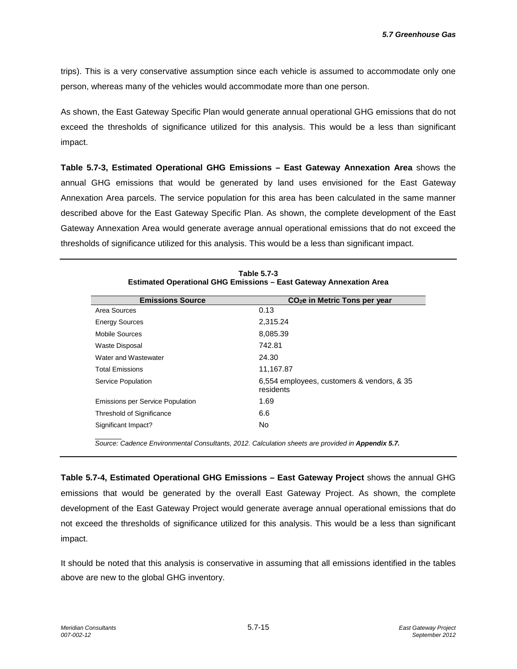trips). This is a very conservative assumption since each vehicle is assumed to accommodate only one person, whereas many of the vehicles would accommodate more than one person.

As shown, the East Gateway Specific Plan would generate annual operational GHG emissions that do not exceed the thresholds of significance utilized for this analysis. This would be a less than significant impact.

**Table 5.7-3, Estimated Operational GHG Emissions – East Gateway Annexation Area** shows the annual GHG emissions that would be generated by land uses envisioned for the East Gateway Annexation Area parcels. The service population for this area has been calculated in the same manner described above for the East Gateway Specific Plan. As shown, the complete development of the East Gateway Annexation Area would generate average annual operational emissions that do not exceed the thresholds of significance utilized for this analysis. This would be a less than significant impact.

| <b>Emissions Source</b>                 | $CO2e$ in Metric Tons per year                          |
|-----------------------------------------|---------------------------------------------------------|
| Area Sources                            | 0.13                                                    |
| <b>Energy Sources</b>                   | 2,315.24                                                |
| Mobile Sources                          | 8,085.39                                                |
| <b>Waste Disposal</b>                   | 742.81                                                  |
| Water and Wastewater                    | 24.30                                                   |
| <b>Total Emissions</b>                  | 11,167.87                                               |
| Service Population                      | 6,554 employees, customers & vendors, & 35<br>residents |
| <b>Emissions per Service Population</b> | 1.69                                                    |
| Threshold of Significance               | 6.6                                                     |
| Significant Impact?                     | No.                                                     |
|                                         |                                                         |

**Table 5.7-3 Estimated Operational GHG Emissions – East Gateway Annexation Area**

Source: Cadence Environmental Consultants, 2012. Calculation sheets are provided in Appendix 5.7.

**Table 5.7-4, Estimated Operational GHG Emissions – East Gateway Project** shows the annual GHG emissions that would be generated by the overall East Gateway Project. As shown, the complete development of the East Gateway Project would generate average annual operational emissions that do not exceed the thresholds of significance utilized for this analysis. This would be a less than significant impact.

It should be noted that this analysis is conservative in assuming that all emissions identified in the tables above are new to the global GHG inventory.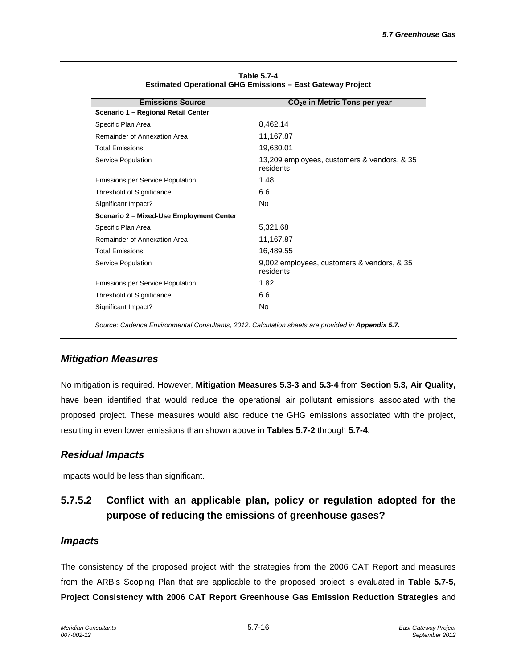| <b>Emissions Source</b>                  | $CO2e$ in Metric Tons per year                           |
|------------------------------------------|----------------------------------------------------------|
| Scenario 1 - Regional Retail Center      |                                                          |
| Specific Plan Area                       | 8,462.14                                                 |
| Remainder of Annexation Area             | 11,167.87                                                |
| <b>Total Emissions</b>                   | 19,630.01                                                |
| Service Population                       | 13,209 employees, customers & vendors, & 35<br>residents |
| <b>Emissions per Service Population</b>  | 1.48                                                     |
| Threshold of Significance                | 6.6                                                      |
| Significant Impact?                      | No.                                                      |
| Scenario 2 - Mixed-Use Employment Center |                                                          |
| Specific Plan Area                       | 5,321.68                                                 |
| Remainder of Annexation Area             | 11,167.87                                                |
| <b>Total Emissions</b>                   | 16,489.55                                                |
| Service Population                       | 9,002 employees, customers & vendors, & 35<br>residents  |
| <b>Emissions per Service Population</b>  | 1.82                                                     |
| Threshold of Significance                | 6.6                                                      |
| Significant Impact?                      | <b>No</b>                                                |
|                                          |                                                          |

**Table 5.7-4 Estimated Operational GHG Emissions – East Gateway Project**

Source: Cadence Environmental Consultants, 2012. Calculation sheets are provided in Appendix 5.7.

### *Mitigation Measures*

No mitigation is required. However, **Mitigation Measures 5.3-3 and 5.3-4** from **Section 5.3, Air Quality,** have been identified that would reduce the operational air pollutant emissions associated with the proposed project. These measures would also reduce the GHG emissions associated with the project, resulting in even lower emissions than shown above in **Tables 5.7-2** through **5.7-4**.

### *Residual Impacts*

Impacts would be less than significant.

# **5.7.5.2 Conflict with an applicable plan, policy or regulation adopted for the purpose of reducing the emissions of greenhouse gases?**

### *Impacts*

The consistency of the proposed project with the strategies from the 2006 CAT Report and measures from the ARB's Scoping Plan that are applicable to the proposed project is evaluated in **Table 5.7-5, Project Consistency with 2006 CAT Report Greenhouse Gas Emission Reduction Strategies** and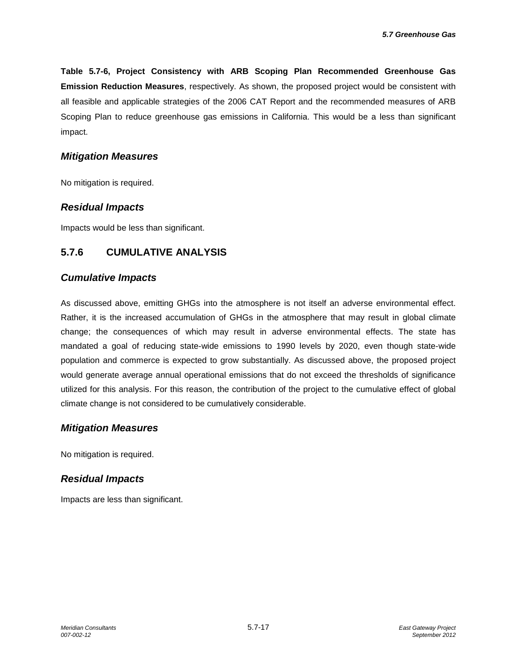**Table 5.7-6, Project Consistency with ARB Scoping Plan Recommended Greenhouse Gas Emission Reduction Measures**, respectively. As shown, the proposed project would be consistent with all feasible and applicable strategies of the 2006 CAT Report and the recommended measures of ARB Scoping Plan to reduce greenhouse gas emissions in California. This would be a less than significant impact.

#### *Mitigation Measures*

No mitigation is required.

#### *Residual Impacts*

Impacts would be less than significant.

### **5.7.6 CUMULATIVE ANALYSIS**

#### *Cumulative Impacts*

As discussed above, emitting GHGs into the atmosphere is not itself an adverse environmental effect. Rather, it is the increased accumulation of GHGs in the atmosphere that may result in global climate change; the consequences of which may result in adverse environmental effects. The state has mandated a goal of reducing state-wide emissions to 1990 levels by 2020, even though state-wide population and commerce is expected to grow substantially. As discussed above, the proposed project would generate average annual operational emissions that do not exceed the thresholds of significance utilized for this analysis. For this reason, the contribution of the project to the cumulative effect of global climate change is not considered to be cumulatively considerable.

### *Mitigation Measures*

No mitigation is required.

### *Residual Impacts*

Impacts are less than significant.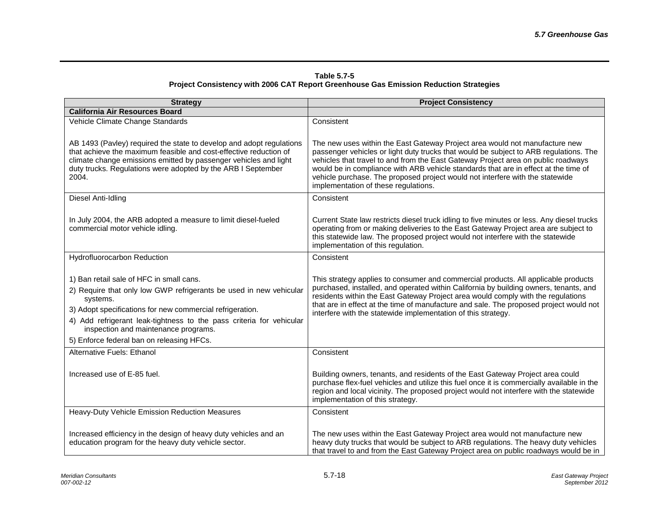| Table 5.7-5                                                                           |  |
|---------------------------------------------------------------------------------------|--|
| Project Consistency with 2006 CAT Report Greenhouse Gas Emission Reduction Strategies |  |

| <b>Strategy</b>                                                                                                                                                                                                                                                                                                                                      | <b>Project Consistency</b>                                                                                                                                                                                                                                                                                                                                                                                                                                                |
|------------------------------------------------------------------------------------------------------------------------------------------------------------------------------------------------------------------------------------------------------------------------------------------------------------------------------------------------------|---------------------------------------------------------------------------------------------------------------------------------------------------------------------------------------------------------------------------------------------------------------------------------------------------------------------------------------------------------------------------------------------------------------------------------------------------------------------------|
| <b>California Air Resources Board</b>                                                                                                                                                                                                                                                                                                                |                                                                                                                                                                                                                                                                                                                                                                                                                                                                           |
| Vehicle Climate Change Standards                                                                                                                                                                                                                                                                                                                     | Consistent                                                                                                                                                                                                                                                                                                                                                                                                                                                                |
| AB 1493 (Pavley) required the state to develop and adopt regulations<br>that achieve the maximum feasible and cost-effective reduction of<br>climate change emissions emitted by passenger vehicles and light<br>duty trucks. Regulations were adopted by the ARB I September<br>2004.                                                               | The new uses within the East Gateway Project area would not manufacture new<br>passenger vehicles or light duty trucks that would be subject to ARB regulations. The<br>vehicles that travel to and from the East Gateway Project area on public roadways<br>would be in compliance with ARB vehicle standards that are in effect at the time of<br>vehicle purchase. The proposed project would not interfere with the statewide<br>implementation of these regulations. |
| Diesel Anti-Idling                                                                                                                                                                                                                                                                                                                                   | Consistent                                                                                                                                                                                                                                                                                                                                                                                                                                                                |
| In July 2004, the ARB adopted a measure to limit diesel-fueled<br>commercial motor vehicle idling.                                                                                                                                                                                                                                                   | Current State law restricts diesel truck idling to five minutes or less. Any diesel trucks<br>operating from or making deliveries to the East Gateway Project area are subject to<br>this statewide law. The proposed project would not interfere with the statewide<br>implementation of this regulation.                                                                                                                                                                |
| Hydrofluorocarbon Reduction                                                                                                                                                                                                                                                                                                                          | Consistent                                                                                                                                                                                                                                                                                                                                                                                                                                                                |
| 1) Ban retail sale of HFC in small cans.<br>2) Require that only low GWP refrigerants be used in new vehicular<br>systems.<br>3) Adopt specifications for new commercial refrigeration.<br>4) Add refrigerant leak-tightness to the pass criteria for vehicular<br>inspection and maintenance programs.<br>5) Enforce federal ban on releasing HFCs. | This strategy applies to consumer and commercial products. All applicable products<br>purchased, installed, and operated within California by building owners, tenants, and<br>residents within the East Gateway Project area would comply with the regulations<br>that are in effect at the time of manufacture and sale. The proposed project would not<br>interfere with the statewide implementation of this strategy.                                                |
| Alternative Fuels: Ethanol                                                                                                                                                                                                                                                                                                                           | Consistent                                                                                                                                                                                                                                                                                                                                                                                                                                                                |
| Increased use of E-85 fuel.                                                                                                                                                                                                                                                                                                                          | Building owners, tenants, and residents of the East Gateway Project area could<br>purchase flex-fuel vehicles and utilize this fuel once it is commercially available in the<br>region and local vicinity. The proposed project would not interfere with the statewide<br>implementation of this strategy.                                                                                                                                                                |
| Heavy-Duty Vehicle Emission Reduction Measures                                                                                                                                                                                                                                                                                                       | Consistent                                                                                                                                                                                                                                                                                                                                                                                                                                                                |
| Increased efficiency in the design of heavy duty vehicles and an<br>education program for the heavy duty vehicle sector.                                                                                                                                                                                                                             | The new uses within the East Gateway Project area would not manufacture new<br>heavy duty trucks that would be subject to ARB regulations. The heavy duty vehicles<br>that travel to and from the East Gateway Project area on public roadways would be in                                                                                                                                                                                                                |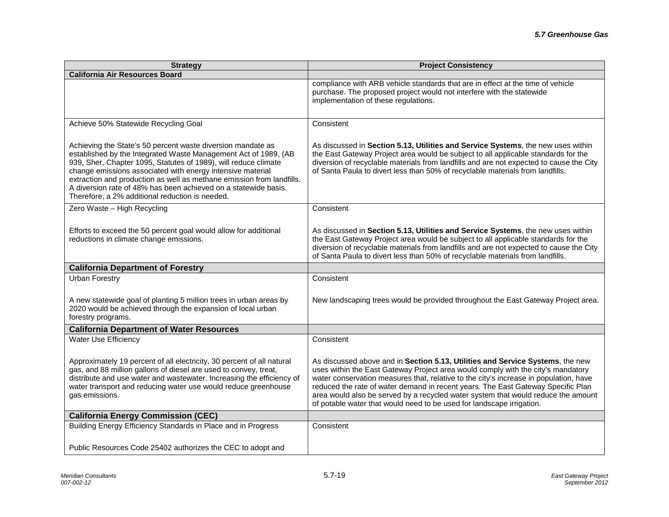| <b>Strategy</b>                                                                                                                                                                                                                                                                                                                                                                                                                                                | <b>Project Consistency</b>                                                                                                                                                                                                                                                                                                                                                                                                                                                                                    |
|----------------------------------------------------------------------------------------------------------------------------------------------------------------------------------------------------------------------------------------------------------------------------------------------------------------------------------------------------------------------------------------------------------------------------------------------------------------|---------------------------------------------------------------------------------------------------------------------------------------------------------------------------------------------------------------------------------------------------------------------------------------------------------------------------------------------------------------------------------------------------------------------------------------------------------------------------------------------------------------|
| <b>California Air Resources Board</b>                                                                                                                                                                                                                                                                                                                                                                                                                          |                                                                                                                                                                                                                                                                                                                                                                                                                                                                                                               |
|                                                                                                                                                                                                                                                                                                                                                                                                                                                                | compliance with ARB vehicle standards that are in effect at the time of vehicle<br>purchase. The proposed project would not interfere with the statewide<br>implementation of these regulations.                                                                                                                                                                                                                                                                                                              |
| Achieve 50% Statewide Recycling Goal                                                                                                                                                                                                                                                                                                                                                                                                                           | Consistent                                                                                                                                                                                                                                                                                                                                                                                                                                                                                                    |
| Achieving the State's 50 percent waste diversion mandate as<br>established by the Integrated Waste Management Act of 1989, (AB<br>939, Sher, Chapter 1095, Statutes of 1989), will reduce climate<br>change emissions associated with energy intensive material<br>extraction and production as well as methane emission from landfills.<br>A diversion rate of 48% has been achieved on a statewide basis.<br>Therefore, a 2% additional reduction is needed. | As discussed in Section 5.13, Utilities and Service Systems, the new uses within<br>the East Gateway Project area would be subject to all applicable standards for the<br>diversion of recyclable materials from landfills and are not expected to cause the City<br>of Santa Paula to divert less than 50% of recyclable materials from landfills.                                                                                                                                                           |
| Zero Waste - High Recycling                                                                                                                                                                                                                                                                                                                                                                                                                                    | Consistent                                                                                                                                                                                                                                                                                                                                                                                                                                                                                                    |
| Efforts to exceed the 50 percent goal would allow for additional<br>reductions in climate change emissions.                                                                                                                                                                                                                                                                                                                                                    | As discussed in Section 5.13, Utilities and Service Systems, the new uses within<br>the East Gateway Project area would be subject to all applicable standards for the<br>diversion of recyclable materials from landfills and are not expected to cause the City<br>of Santa Paula to divert less than 50% of recyclable materials from landfills.                                                                                                                                                           |
| <b>California Department of Forestry</b>                                                                                                                                                                                                                                                                                                                                                                                                                       |                                                                                                                                                                                                                                                                                                                                                                                                                                                                                                               |
| <b>Urban Forestry</b><br>A new statewide goal of planting 5 million trees in urban areas by<br>2020 would be achieved through the expansion of local urban<br>forestry programs.                                                                                                                                                                                                                                                                               | Consistent<br>New landscaping trees would be provided throughout the East Gateway Project area.                                                                                                                                                                                                                                                                                                                                                                                                               |
| <b>California Department of Water Resources</b>                                                                                                                                                                                                                                                                                                                                                                                                                |                                                                                                                                                                                                                                                                                                                                                                                                                                                                                                               |
| <b>Water Use Efficiency</b>                                                                                                                                                                                                                                                                                                                                                                                                                                    | Consistent                                                                                                                                                                                                                                                                                                                                                                                                                                                                                                    |
| Approximately 19 percent of all electricity, 30 percent of all natural<br>gas, and 88 million gallons of diesel are used to convey, treat,<br>distribute and use water and wastewater. Increasing the efficiency of<br>water transport and reducing water use would reduce greenhouse<br>gas emissions.                                                                                                                                                        | As discussed above and in Section 5.13, Utilities and Service Systems, the new<br>uses within the East Gateway Project area would comply with the city's mandatory<br>water conservation measures that, relative to the city's increase in population, have<br>reduced the rate of water demand in recent years. The East Gateway Specific Plan<br>area would also be served by a recycled water system that would reduce the amount<br>of potable water that would need to be used for landscape irrigation. |
| <b>California Energy Commission (CEC)</b>                                                                                                                                                                                                                                                                                                                                                                                                                      |                                                                                                                                                                                                                                                                                                                                                                                                                                                                                                               |
| Building Energy Efficiency Standards in Place and in Progress                                                                                                                                                                                                                                                                                                                                                                                                  | Consistent                                                                                                                                                                                                                                                                                                                                                                                                                                                                                                    |
| Public Resources Code 25402 authorizes the CEC to adopt and                                                                                                                                                                                                                                                                                                                                                                                                    |                                                                                                                                                                                                                                                                                                                                                                                                                                                                                                               |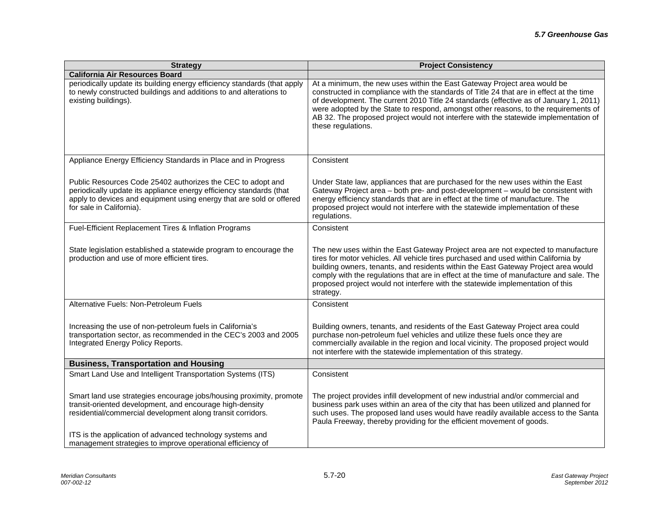| <b>Strategy</b>                                                                                                                                                                                                                        | <b>Project Consistency</b>                                                                                                                                                                                                                                                                                                                                                                                                                                        |
|----------------------------------------------------------------------------------------------------------------------------------------------------------------------------------------------------------------------------------------|-------------------------------------------------------------------------------------------------------------------------------------------------------------------------------------------------------------------------------------------------------------------------------------------------------------------------------------------------------------------------------------------------------------------------------------------------------------------|
| <b>California Air Resources Board</b>                                                                                                                                                                                                  |                                                                                                                                                                                                                                                                                                                                                                                                                                                                   |
| periodically update its building energy efficiency standards (that apply<br>to newly constructed buildings and additions to and alterations to<br>existing buildings).                                                                 | At a minimum, the new uses within the East Gateway Project area would be<br>constructed in compliance with the standards of Title 24 that are in effect at the time<br>of development. The current 2010 Title 24 standards (effective as of January 1, 2011)<br>were adopted by the State to respond, amongst other reasons, to the requirements of<br>AB 32. The proposed project would not interfere with the statewide implementation of<br>these regulations. |
| Appliance Energy Efficiency Standards in Place and in Progress                                                                                                                                                                         | Consistent                                                                                                                                                                                                                                                                                                                                                                                                                                                        |
| Public Resources Code 25402 authorizes the CEC to adopt and<br>periodically update its appliance energy efficiency standards (that<br>apply to devices and equipment using energy that are sold or offered<br>for sale in California). | Under State law, appliances that are purchased for the new uses within the East<br>Gateway Project area - both pre- and post-development - would be consistent with<br>energy efficiency standards that are in effect at the time of manufacture. The<br>proposed project would not interfere with the statewide implementation of these<br>regulations.                                                                                                          |
| Fuel-Efficient Replacement Tires & Inflation Programs                                                                                                                                                                                  | Consistent                                                                                                                                                                                                                                                                                                                                                                                                                                                        |
| State legislation established a statewide program to encourage the<br>production and use of more efficient tires.                                                                                                                      | The new uses within the East Gateway Project area are not expected to manufacture<br>tires for motor vehicles. All vehicle tires purchased and used within California by<br>building owners, tenants, and residents within the East Gateway Project area would<br>comply with the regulations that are in effect at the time of manufacture and sale. The<br>proposed project would not interfere with the statewide implementation of this<br>strategy.          |
| Alternative Fuels: Non-Petroleum Fuels                                                                                                                                                                                                 | Consistent                                                                                                                                                                                                                                                                                                                                                                                                                                                        |
| Increasing the use of non-petroleum fuels in California's<br>transportation sector, as recommended in the CEC's 2003 and 2005<br>Integrated Energy Policy Reports.                                                                     | Building owners, tenants, and residents of the East Gateway Project area could<br>purchase non-petroleum fuel vehicles and utilize these fuels once they are<br>commercially available in the region and local vicinity. The proposed project would<br>not interfere with the statewide implementation of this strategy.                                                                                                                                          |
| <b>Business, Transportation and Housing</b>                                                                                                                                                                                            |                                                                                                                                                                                                                                                                                                                                                                                                                                                                   |
| Smart Land Use and Intelligent Transportation Systems (ITS)                                                                                                                                                                            | Consistent                                                                                                                                                                                                                                                                                                                                                                                                                                                        |
| Smart land use strategies encourage jobs/housing proximity, promote<br>transit-oriented development, and encourage high-density<br>residential/commercial development along transit corridors.                                         | The project provides infill development of new industrial and/or commercial and<br>business park uses within an area of the city that has been utilized and planned for<br>such uses. The proposed land uses would have readily available access to the Santa<br>Paula Freeway, thereby providing for the efficient movement of goods.                                                                                                                            |
| ITS is the application of advanced technology systems and<br>management strategies to improve operational efficiency of                                                                                                                |                                                                                                                                                                                                                                                                                                                                                                                                                                                                   |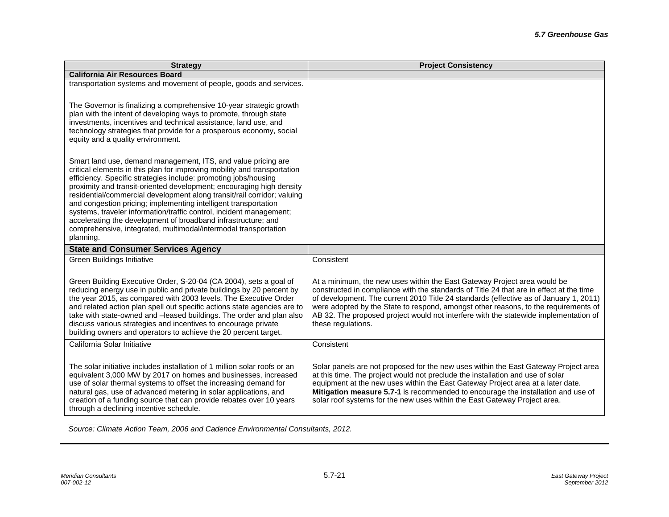| <b>Strategy</b>                                                                                                                                                                                                                                                                                                                                                                                                                                                                                                                                                                                                                                            | <b>Project Consistency</b>                                                                                                                                                                                                                                                                                                                                                                                                                                        |
|------------------------------------------------------------------------------------------------------------------------------------------------------------------------------------------------------------------------------------------------------------------------------------------------------------------------------------------------------------------------------------------------------------------------------------------------------------------------------------------------------------------------------------------------------------------------------------------------------------------------------------------------------------|-------------------------------------------------------------------------------------------------------------------------------------------------------------------------------------------------------------------------------------------------------------------------------------------------------------------------------------------------------------------------------------------------------------------------------------------------------------------|
| <b>California Air Resources Board</b>                                                                                                                                                                                                                                                                                                                                                                                                                                                                                                                                                                                                                      |                                                                                                                                                                                                                                                                                                                                                                                                                                                                   |
| transportation systems and movement of people, goods and services.                                                                                                                                                                                                                                                                                                                                                                                                                                                                                                                                                                                         |                                                                                                                                                                                                                                                                                                                                                                                                                                                                   |
| The Governor is finalizing a comprehensive 10-year strategic growth<br>plan with the intent of developing ways to promote, through state<br>investments, incentives and technical assistance, land use, and<br>technology strategies that provide for a prosperous economy, social<br>equity and a quality environment.                                                                                                                                                                                                                                                                                                                                    |                                                                                                                                                                                                                                                                                                                                                                                                                                                                   |
| Smart land use, demand management, ITS, and value pricing are<br>critical elements in this plan for improving mobility and transportation<br>efficiency. Specific strategies include: promoting jobs/housing<br>proximity and transit-oriented development; encouraging high density<br>residential/commercial development along transit/rail corridor; valuing<br>and congestion pricing; implementing intelligent transportation<br>systems, traveler information/traffic control, incident management;<br>accelerating the development of broadband infrastructure; and<br>comprehensive, integrated, multimodal/intermodal transportation<br>planning. |                                                                                                                                                                                                                                                                                                                                                                                                                                                                   |
| <b>State and Consumer Services Agency</b>                                                                                                                                                                                                                                                                                                                                                                                                                                                                                                                                                                                                                  |                                                                                                                                                                                                                                                                                                                                                                                                                                                                   |
| Green Buildings Initiative                                                                                                                                                                                                                                                                                                                                                                                                                                                                                                                                                                                                                                 | Consistent                                                                                                                                                                                                                                                                                                                                                                                                                                                        |
| Green Building Executive Order, S-20-04 (CA 2004), sets a goal of<br>reducing energy use in public and private buildings by 20 percent by<br>the year 2015, as compared with 2003 levels. The Executive Order<br>and related action plan spell out specific actions state agencies are to<br>take with state-owned and -leased buildings. The order and plan also<br>discuss various strategies and incentives to encourage private<br>building owners and operators to achieve the 20 percent target.                                                                                                                                                     | At a minimum, the new uses within the East Gateway Project area would be<br>constructed in compliance with the standards of Title 24 that are in effect at the time<br>of development. The current 2010 Title 24 standards (effective as of January 1, 2011)<br>were adopted by the State to respond, amongst other reasons, to the requirements of<br>AB 32. The proposed project would not interfere with the statewide implementation of<br>these regulations. |
| California Solar Initiative                                                                                                                                                                                                                                                                                                                                                                                                                                                                                                                                                                                                                                | Consistent                                                                                                                                                                                                                                                                                                                                                                                                                                                        |
| The solar initiative includes installation of 1 million solar roofs or an<br>equivalent 3,000 MW by 2017 on homes and businesses, increased<br>use of solar thermal systems to offset the increasing demand for<br>natural gas, use of advanced metering in solar applications, and<br>creation of a funding source that can provide rebates over 10 years<br>through a declining incentive schedule.                                                                                                                                                                                                                                                      | Solar panels are not proposed for the new uses within the East Gateway Project area<br>at this time. The project would not preclude the installation and use of solar<br>equipment at the new uses within the East Gateway Project area at a later date.<br>Mitigation measure 5.7-1 is recommended to encourage the installation and use of<br>solar roof systems for the new uses within the East Gateway Project area.                                         |

*Source: Climate Action Team, 2006 and Cadence Environmental Consultants, 2012.*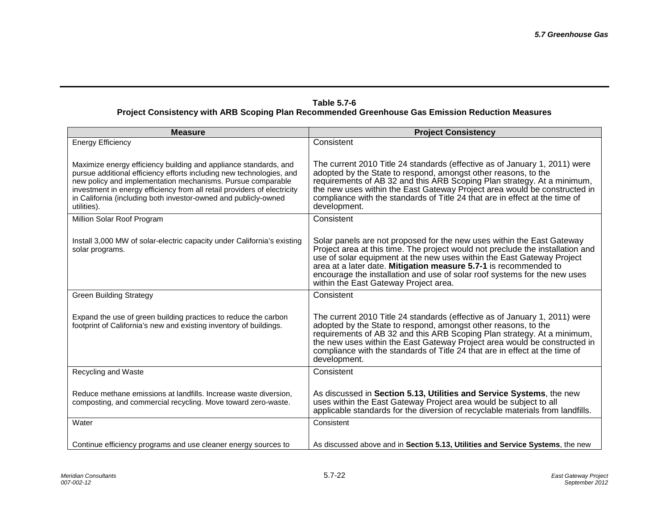#### **Table 5.7-6 Project Consistency with ARB Scoping Plan Recommended Greenhouse Gas Emission Reduction Measures**

| <b>Measure</b>                                                                                                                                                                                                                                                                                                                                                        | <b>Project Consistency</b>                                                                                                                                                                                                                                                                                                                                                                                                   |
|-----------------------------------------------------------------------------------------------------------------------------------------------------------------------------------------------------------------------------------------------------------------------------------------------------------------------------------------------------------------------|------------------------------------------------------------------------------------------------------------------------------------------------------------------------------------------------------------------------------------------------------------------------------------------------------------------------------------------------------------------------------------------------------------------------------|
| <b>Energy Efficiency</b>                                                                                                                                                                                                                                                                                                                                              | Consistent                                                                                                                                                                                                                                                                                                                                                                                                                   |
| Maximize energy efficiency building and appliance standards, and<br>pursue additional efficiency efforts including new technologies, and<br>new policy and implementation mechanisms. Pursue comparable<br>investment in energy efficiency from all retail providers of electricity<br>in California (including both investor-owned and publicly-owned<br>utilities). | The current 2010 Title 24 standards (effective as of January 1, 2011) were<br>adopted by the State to respond, amongst other reasons, to the<br>requirements of AB 32 and this ARB Scoping Plan strategy. At a minimum,<br>the new uses within the East Gateway Project area would be constructed in<br>compliance with the standards of Title 24 that are in effect at the time of<br>development.                          |
| Million Solar Roof Program                                                                                                                                                                                                                                                                                                                                            | Consistent                                                                                                                                                                                                                                                                                                                                                                                                                   |
| Install 3,000 MW of solar-electric capacity under California's existing<br>solar programs.                                                                                                                                                                                                                                                                            | Solar panels are not proposed for the new uses within the East Gateway<br>Project area at this time. The project would not preclude the installation and<br>use of solar equipment at the new uses within the East Gateway Project<br>area at a later date. Mitigation measure 5.7-1 is recommended to<br>encourage the installation and use of solar roof systems for the new uses<br>within the East Gateway Project area. |
| <b>Green Building Strategy</b>                                                                                                                                                                                                                                                                                                                                        | Consistent                                                                                                                                                                                                                                                                                                                                                                                                                   |
| Expand the use of green building practices to reduce the carbon<br>footprint of California's new and existing inventory of buildings.                                                                                                                                                                                                                                 | The current 2010 Title 24 standards (effective as of January 1, 2011) were<br>adopted by the State to respond, amongst other reasons, to the<br>requirements of AB 32 and this ARB Scoping Plan strategy. At a minimum,<br>the new uses within the East Gateway Project area would be constructed in<br>compliance with the standards of Title 24 that are in effect at the time of<br>development.                          |
| Recycling and Waste                                                                                                                                                                                                                                                                                                                                                   | Consistent                                                                                                                                                                                                                                                                                                                                                                                                                   |
| Reduce methane emissions at landfills. Increase waste diversion,<br>composting, and commercial recycling. Move toward zero-waste.                                                                                                                                                                                                                                     | As discussed in Section 5.13, Utilities and Service Systems, the new<br>uses within the East Gateway Project area would be subject to all<br>applicable standards for the diversion of recyclable materials from landfills.                                                                                                                                                                                                  |
| Water                                                                                                                                                                                                                                                                                                                                                                 | Consistent                                                                                                                                                                                                                                                                                                                                                                                                                   |
| Continue efficiency programs and use cleaner energy sources to                                                                                                                                                                                                                                                                                                        | As discussed above and in Section 5.13, Utilities and Service Systems, the new                                                                                                                                                                                                                                                                                                                                               |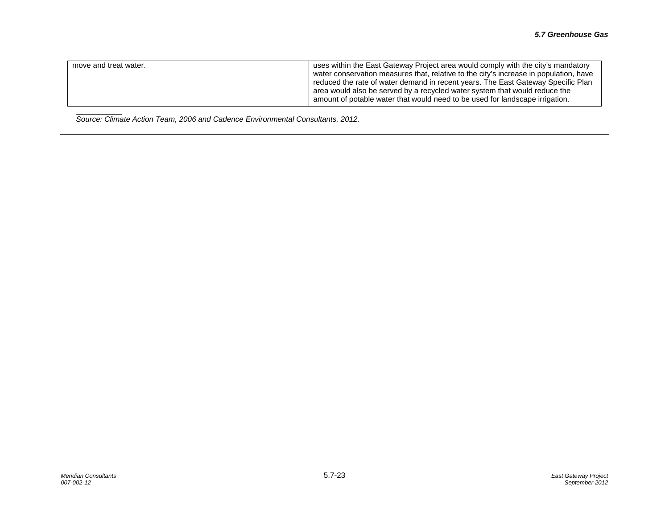| move and treat water. | uses within the East Gateway Project area would comply with the city's mandatory<br>water conservation measures that, relative to the city's increase in population, have<br>reduced the rate of water demand in recent years. The East Gateway Specific Plan<br>area would also be served by a recycled water system that would reduce the |
|-----------------------|---------------------------------------------------------------------------------------------------------------------------------------------------------------------------------------------------------------------------------------------------------------------------------------------------------------------------------------------|
|                       | amount of potable water that would need to be used for landscape irrigation.                                                                                                                                                                                                                                                                |

*Source: Climate Action Team, 2006 and Cadence Environmental Consultants, 2012.*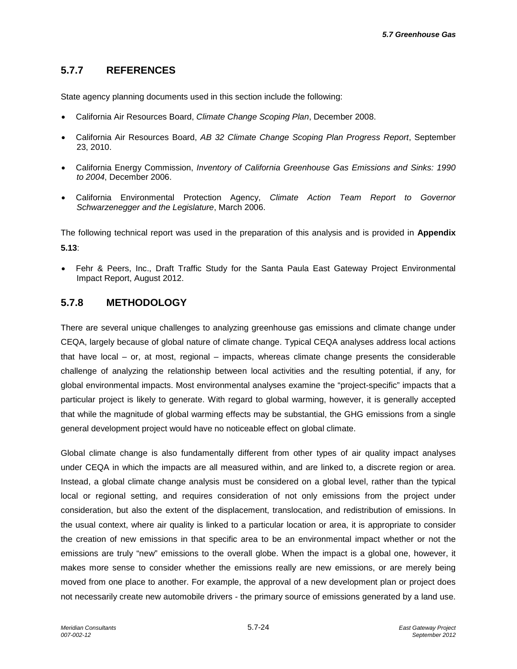# **5.7.7 REFERENCES**

State agency planning documents used in this section include the following:

- California Air Resources Board, *Climate Change Scoping Plan*, December 2008.
- California Air Resources Board, *AB 32 Climate Change Scoping Plan Progress Report*, September 23, 2010.
- California Energy Commission, *Inventory of California Greenhouse Gas Emissions and Sinks: 1990 to 2004*, December 2006.
- California Environmental Protection Agency, *Climate Action Team Report to Governor Schwarzenegger and the Legislature*, March 2006.

The following technical report was used in the preparation of this analysis and is provided in **Appendix 5.13**:

• Fehr & Peers, Inc., Draft Traffic Study for the Santa Paula East Gateway Project Environmental Impact Report, August 2012.

### **5.7.8 METHODOLOGY**

There are several unique challenges to analyzing greenhouse gas emissions and climate change under CEQA, largely because of global nature of climate change. Typical CEQA analyses address local actions that have local – or, at most, regional – impacts, whereas climate change presents the considerable challenge of analyzing the relationship between local activities and the resulting potential, if any, for global environmental impacts. Most environmental analyses examine the "project-specific" impacts that a particular project is likely to generate. With regard to global warming, however, it is generally accepted that while the magnitude of global warming effects may be substantial, the GHG emissions from a single general development project would have no noticeable effect on global climate.

Global climate change is also fundamentally different from other types of air quality impact analyses under CEQA in which the impacts are all measured within, and are linked to, a discrete region or area. Instead, a global climate change analysis must be considered on a global level, rather than the typical local or regional setting, and requires consideration of not only emissions from the project under consideration, but also the extent of the displacement, translocation, and redistribution of emissions. In the usual context, where air quality is linked to a particular location or area, it is appropriate to consider the creation of new emissions in that specific area to be an environmental impact whether or not the emissions are truly "new" emissions to the overall globe. When the impact is a global one, however, it makes more sense to consider whether the emissions really are new emissions, or are merely being moved from one place to another. For example, the approval of a new development plan or project does not necessarily create new automobile drivers - the primary source of emissions generated by a land use.